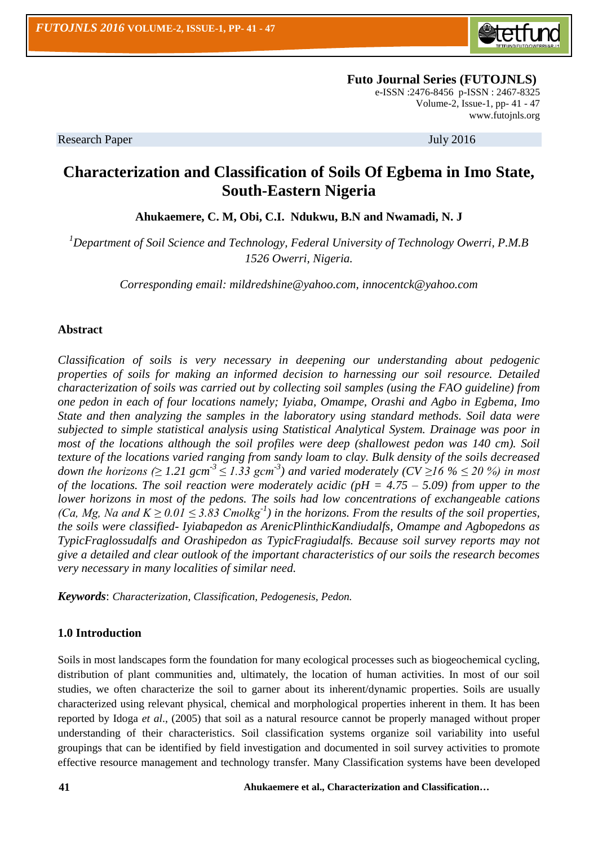

 **Futo Journal Series (FUTOJNLS)** e-ISSN :2476-8456 p-ISSN : 2467-8325 Volume-2, Issue-1, pp- 41 - 47 [www.futojnls.org](http://www.futojnls.org/)

Research Paper July 2016

# **Characterization and Classification of Soils Of Egbema in Imo State, South-Eastern Nigeria**

**Ahukaemere, C. M, Obi, C.I. Ndukwu, B.N and Nwamadi, N. J**

*<sup>1</sup>Department of Soil Science and Technology, Federal University of Technology Owerri, P.M.B 1526 Owerri, Nigeria.*

*Corresponding email: [mildredshine@yahoo.com,](mailto:mildredshine@yahoo.com) innocentck@yahoo.com*

# **Abstract**

*Classification of soils is very necessary in deepening our understanding about pedogenic properties of soils for making an informed decision to harnessing our soil resource. Detailed characterization of soils was carried out by collecting soil samples (using the FAO guideline) from one pedon in each of four locations namely; Iyiaba, Omampe, Orashi and Agbo in Egbema, Imo State and then analyzing the samples in the laboratory using standard methods. Soil data were subjected to simple statistical analysis using Statistical Analytical System. Drainage was poor in most of the locations although the soil profiles were deep (shallowest pedon was 140 cm). Soil texture of the locations varied ranging from sandy loam to clay. Bulk density of the soils decreased*  down the horizons (≥ 1.21 gcm<sup>-3</sup> ≤ 1.33 gcm<sup>-3</sup>) and varied moderately (CV ≥16 % ≤ 20 %) in most *of the locations. The soil reaction were moderately acidic (pH = 4.75 – 5.09) from upper to the lower horizons in most of the pedons. The soils had low concentrations of exchangeable cations (Ca, Mg, Na and K* ≥ 0.01 ≤ 3.83 Cmolkg<sup>-1</sup>) in the horizons. From the results of the soil properties, *the soils were classified- Iyiabapedon as ArenicPlinthicKandiudalfs, Omampe and Agbopedons as TypicFraglossudalfs and Orashipedon as TypicFragiudalfs. Because soil survey reports may not give a detailed and clear outlook of the important characteristics of our soils the research becomes very necessary in many localities of similar need.* 

*Keywords*: *Characterization, Classification, Pedogenesis, Pedon.*

# **1.0 Introduction**

Soils in most landscapes form the foundation for many ecological processes such as biogeochemical cycling, distribution of plant communities and, ultimately, the location of human activities. In most of our soil studies, we often characterize the soil to garner about its inherent/dynamic properties. Soils are usually characterized using relevant physical, chemical and morphological properties inherent in them. It has been reported by Idoga *et al*., (2005) that soil as a natural resource cannot be properly managed without proper understanding of their characteristics. Soil classification systems organize soil variability into useful groupings that can be identified by field investigation and documented in soil survey activities to promote effective resource management and technology transfer. Many Classification systems have been developed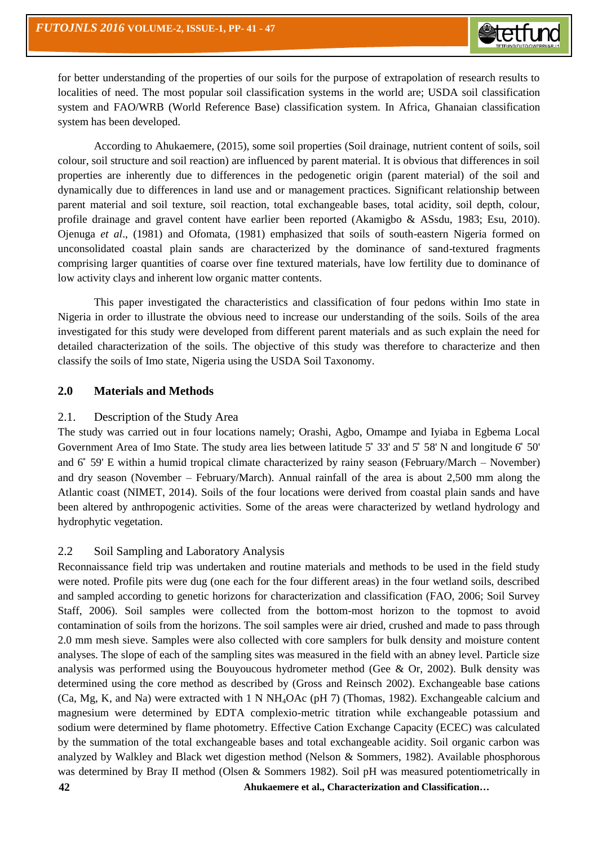for better understanding of the properties of our soils for the purpose of extrapolation of research results to localities of need. The most popular soil classification systems in the world are; USDA soil classification system and FAO/WRB (World Reference Base) classification system. In Africa, Ghanaian classification system has been developed.

According to Ahukaemere, (2015), some soil properties (Soil drainage, nutrient content of soils, soil colour, soil structure and soil reaction) are influenced by parent material. It is obvious that differences in soil properties are inherently due to differences in the pedogenetic origin (parent material) of the soil and dynamically due to differences in land use and or management practices. Significant relationship between parent material and soil texture, soil reaction, total exchangeable bases, total acidity, soil depth, colour, profile drainage and gravel content have earlier been reported (Akamigbo & ASsdu, 1983; Esu, 2010). Ojenuga *et al*., (1981) and Ofomata, (1981) emphasized that soils of south-eastern Nigeria formed on unconsolidated coastal plain sands are characterized by the dominance of sand-textured fragments comprising larger quantities of coarse over fine textured materials, have low fertility due to dominance of low activity clays and inherent low organic matter contents.

This paper investigated the characteristics and classification of four pedons within Imo state in Nigeria in order to illustrate the obvious need to increase our understanding of the soils. Soils of the area investigated for this study were developed from different parent materials and as such explain the need for detailed characterization of the soils. The objective of this study was therefore to characterize and then classify the soils of Imo state, Nigeria using the USDA Soil Taxonomy.

# **2.0 Materials and Methods**

# 2.1. Description of the Study Area

The study was carried out in four locations namely; Orashi, Agbo, Omampe and Iyiaba in Egbema Local Government Area of Imo State. The study area lies between latitude  $5^{\circ}$  33' and  $5^{\circ}$  58' N and longitude  $6^{\circ}$  50' and 6 59' E within a humid tropical climate characterized by rainy season (February/March – November) and dry season (November – February/March). Annual rainfall of the area is about 2,500 mm along the Atlantic coast (NIMET, 2014). Soils of the four locations were derived from coastal plain sands and have been altered by anthropogenic activities. Some of the areas were characterized by wetland hydrology and hydrophytic vegetation.

# 2.2 Soil Sampling and Laboratory Analysis

**42 Ahukaemere et al., Characterization and Classification…** Reconnaissance field trip was undertaken and routine materials and methods to be used in the field study were noted. Profile pits were dug (one each for the four different areas) in the four wetland soils, described and sampled according to genetic horizons for characterization and classification (FAO, 2006; Soil Survey Staff, 2006). Soil samples were collected from the bottom-most horizon to the topmost to avoid contamination of soils from the horizons. The soil samples were air dried, crushed and made to pass through 2.0 mm mesh sieve. Samples were also collected with core samplers for bulk density and moisture content analyses. The slope of each of the sampling sites was measured in the field with an abney level. Particle size analysis was performed using the Bouyoucous hydrometer method (Gee & Or, 2002). Bulk density was determined using the core method as described by (Gross and Reinsch 2002). Exchangeable base cations (Ca, Mg, K, and Na) were extracted with 1 N NH4OAc (pH 7) (Thomas, 1982). Exchangeable calcium and magnesium were determined by EDTA complexio-metric titration while exchangeable potassium and sodium were determined by flame photometry. Effective Cation Exchange Capacity (ECEC) was calculated by the summation of the total exchangeable bases and total exchangeable acidity. Soil organic carbon was analyzed by Walkley and Black wet digestion method (Nelson & Sommers, 1982). Available phosphorous was determined by Bray II method (Olsen & Sommers 1982). Soil pH was measured potentiometrically in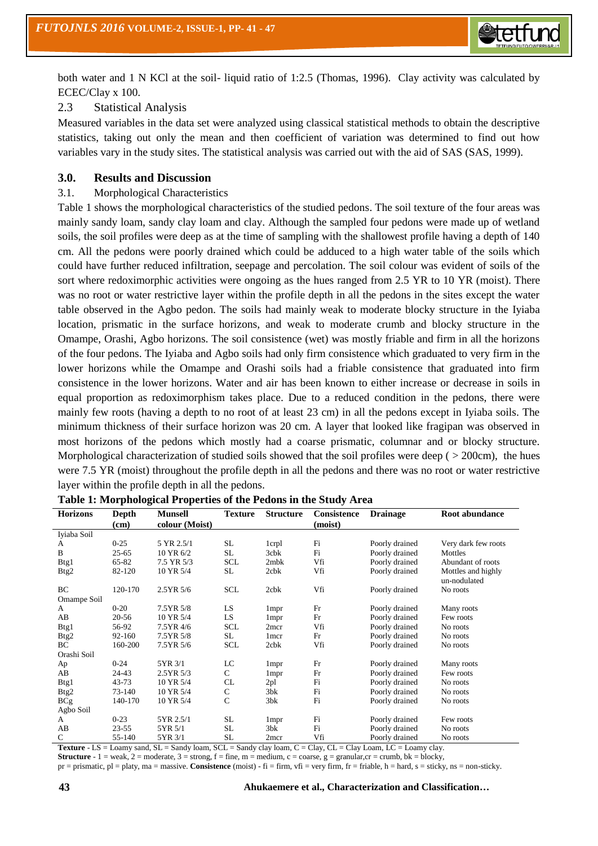

both water and 1 N KCl at the soil- liquid ratio of 1:2.5 (Thomas, 1996). Clay activity was calculated by ECEC/Clay x 100.

# 2.3 Statistical Analysis

Measured variables in the data set were analyzed using classical statistical methods to obtain the descriptive statistics, taking out only the mean and then coefficient of variation was determined to find out how variables vary in the study sites. The statistical analysis was carried out with the aid of SAS (SAS, 1999).

#### **3.0. Results and Discussion**

#### 3.1. Morphological Characteristics

Table 1 shows the morphological characteristics of the studied pedons. The soil texture of the four areas was mainly sandy loam, sandy clay loam and clay. Although the sampled four pedons were made up of wetland soils, the soil profiles were deep as at the time of sampling with the shallowest profile having a depth of 140 cm. All the pedons were poorly drained which could be adduced to a high water table of the soils which could have further reduced infiltration, seepage and percolation. The soil colour was evident of soils of the sort where redoximorphic activities were ongoing as the hues ranged from 2.5 YR to 10 YR (moist). There was no root or water restrictive layer within the profile depth in all the pedons in the sites except the water table observed in the Agbo pedon. The soils had mainly weak to moderate blocky structure in the Iyiaba location, prismatic in the surface horizons, and weak to moderate crumb and blocky structure in the Omampe, Orashi, Agbo horizons. The soil consistence (wet) was mostly friable and firm in all the horizons of the four pedons. The Iyiaba and Agbo soils had only firm consistence which graduated to very firm in the lower horizons while the Omampe and Orashi soils had a friable consistence that graduated into firm consistence in the lower horizons. Water and air has been known to either increase or decrease in soils in equal proportion as redoximorphism takes place. Due to a reduced condition in the pedons, there were mainly few roots (having a depth to no root of at least 23 cm) in all the pedons except in Iyiaba soils. The minimum thickness of their surface horizon was 20 cm. A layer that looked like fragipan was observed in most horizons of the pedons which mostly had a coarse prismatic, columnar and or blocky structure. Morphological characterization of studied soils showed that the soil profiles were deep ( $>$  200cm), the hues were 7.5 YR (moist) throughout the profile depth in all the pedons and there was no root or water restrictive layer within the profile depth in all the pedons.

| <b>Horizons</b>  | Depth     | <b>Munsell</b> | <b>Texture</b> | <b>Structure</b> | Consistence | <b>Drainage</b> | Root abundance                     |
|------------------|-----------|----------------|----------------|------------------|-------------|-----------------|------------------------------------|
|                  | (cm)      | colour (Moist) |                |                  | (moist)     |                 |                                    |
| Iyiaba Soil      |           |                |                |                  |             |                 |                                    |
| А                | $0 - 25$  | 5 YR 2.5/1     | SL.            | 1crpl            | Fi          | Poorly drained  | Very dark few roots                |
| B                | $25 - 65$ | 10 YR 6/2      | SL             | 3cbk             | Fi          | Poorly drained  | Mottles                            |
| Btg1             | 65-82     | 7.5 YR 5/3     | <b>SCL</b>     | 2mbk             | Vfi         | Poorly drained  | Abundant of roots                  |
| Btg2             | 82-120    | 10 YR 5/4      | SL             | $2$ c $bk$       | Vfi         | Poorly drained  | Mottles and highly<br>un-nodulated |
| BC               | 120-170   | $2.5YR\,5/6$   | <b>SCL</b>     | 2cbk             | Vfi         | Poorly drained  | No roots                           |
| Omampe Soil      |           |                |                |                  |             |                 |                                    |
| A                | $0 - 20$  | 7.5YR 5/8      | LS             | 1 <sub>mpr</sub> | Fr          | Poorly drained  | Many roots                         |
| AB               | 20-56     | 10 YR 5/4      | LS             | 1 <sub>mpr</sub> | Fr          | Poorly drained  | Few roots                          |
| Btg1             | 56-92     | 7.5YR 4/6      | <b>SCL</b>     | 2mcr             | Vfi         | Poorly drained  | No roots                           |
| B <sub>tg2</sub> | 92-160    | 7.5YR 5/8      | SL             | 1 mcr            | Fr          | Poorly drained  | No roots                           |
| ВC               | 160-200   | 7.5YR 5/6      | <b>SCL</b>     | 2cbk             | Vfi         | Poorly drained  | No roots                           |
| Orashi Soil      |           |                |                |                  |             |                 |                                    |
| Ap               | $0 - 24$  | 5YR 3/1        | LC             | 1 <sub>mpr</sub> | Fr          | Poorly drained  | Many roots                         |
| AB               | 24-43     | 2.5YR 5/3      | $\mathsf{C}$   | 1 <sub>mpr</sub> | Fr          | Poorly drained  | Few roots                          |
| Btg1             | $43 - 73$ | 10 YR 5/4      | CL             | 2pl              | Fi          | Poorly drained  | No roots                           |
| B <sub>tg2</sub> | 73-140    | 10 YR 5/4      | C              | 3bk              | Fi          | Poorly drained  | No roots                           |
| BCg              | 140-170   | 10 YR 5/4      | $\mathsf{C}$   | 3bk              | Fi          | Poorly drained  | No roots                           |
| Agbo Soil        |           |                |                |                  |             |                 |                                    |
| A                | $0 - 23$  | 5YR 2.5/1      | <b>SL</b>      | 1 <sub>mpr</sub> | Fi          | Poorly drained  | Few roots                          |
| AB               | $23 - 55$ | 5YR 5/1        | <b>SL</b>      | 3bk              | Fi          | Poorly drained  | No roots                           |
| С                | 55-140    | 5YR 3/1        | SL             | 2mcr             | Vfi         | Poorly drained  | No roots                           |

**Table 1: Morphological Properties of the Pedons in the Study Area**

**Texture** - LS = Loamy sand, SL = Sandy loam, SCL = Sandy clay loam, C = Clay, CL = Clay Loam, LC = Loamy clay. **Structure** - 1 = weak, 2 = moderate, 3 = strong, f = fine, m = medium, c = coarse, g = granular,cr = crumb, bk = blocky,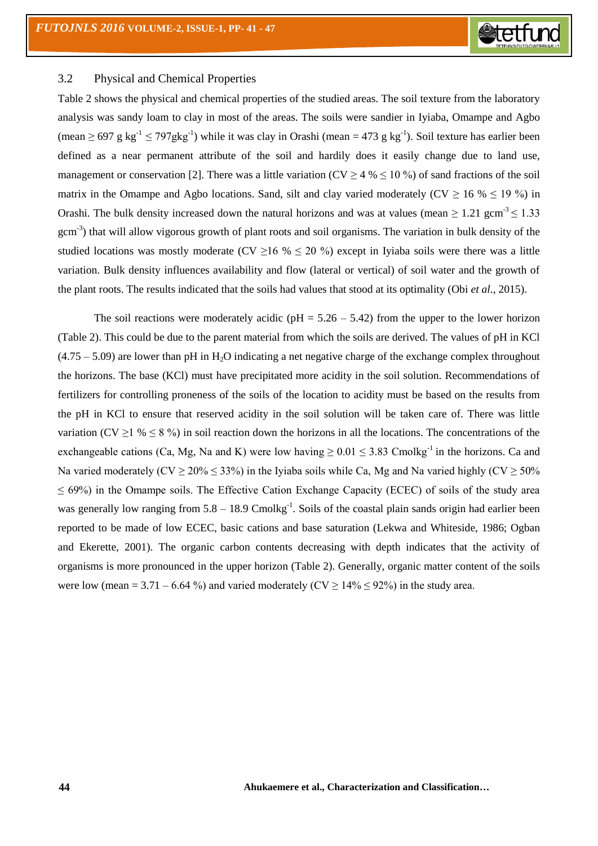

#### 3.2 Physical and Chemical Properties

Table 2 shows the physical and chemical properties of the studied areas. The soil texture from the laboratory analysis was sandy loam to clay in most of the areas. The soils were sandier in Iyiaba, Omampe and Agbo (mean  $\geq 697$  g kg<sup>-1</sup>  $\leq 797$ gkg<sup>-1</sup>) while it was clay in Orashi (mean = 473 g kg<sup>-1</sup>). Soil texture has earlier been defined as a near permanent attribute of the soil and hardily does it easily change due to land use, management or conservation [2]. There was a little variation (CV  $\geq$  4 %  $\leq$  10 %) of sand fractions of the soil matrix in the Omampe and Agbo locations. Sand, silt and clay varied moderately ( $CV \ge 16$  %  $\le 19$  %) in Orashi. The bulk density increased down the natural horizons and was at values (mean  $\geq 1.21$  gcm<sup>-3</sup>  $\leq 1.33$ gcm<sup>-3</sup>) that will allow vigorous growth of plant roots and soil organisms. The variation in bulk density of the studied locations was mostly moderate (CV  $\geq$  16 %  $\leq$  20 %) except in Iviaba soils were there was a little variation. Bulk density influences availability and flow (lateral or vertical) of soil water and the growth of the plant roots. The results indicated that the soils had values that stood at its optimality (Obi *et al*., 2015).

The soil reactions were moderately acidic ( $pH = 5.26 - 5.42$ ) from the upper to the lower horizon (Table 2). This could be due to the parent material from which the soils are derived. The values of pH in KCl  $(4.75 - 5.09)$  are lower than pH in H<sub>2</sub>O indicating a net negative charge of the exchange complex throughout the horizons. The base (KCl) must have precipitated more acidity in the soil solution. Recommendations of fertilizers for controlling proneness of the soils of the location to acidity must be based on the results from the pH in KCl to ensure that reserved acidity in the soil solution will be taken care of. There was little variation (CV  $\geq$  1 %  $\leq$  8 %) in soil reaction down the horizons in all the locations. The concentrations of the exchangeable cations (Ca, Mg, Na and K) were low having  $\geq 0.01 \leq 3.83$  Cmolkg<sup>-1</sup> in the horizons. Ca and Na varied moderately (CV  $\geq$  20%  $\leq$  33%) in the Iyiaba soils while Ca, Mg and Na varied highly (CV  $\geq$  50%  $\leq 69\%$ ) in the Omampe soils. The Effective Cation Exchange Capacity (ECEC) of soils of the study area was generally low ranging from  $5.8 - 18.9$  Cmolkg<sup>-1</sup>. Soils of the coastal plain sands origin had earlier been reported to be made of low ECEC, basic cations and base saturation (Lekwa and Whiteside, 1986; Ogban and Ekerette, 2001). The organic carbon contents decreasing with depth indicates that the activity of organisms is more pronounced in the upper horizon (Table 2). Generally, organic matter content of the soils were low (mean = 3.71 – 6.64 %) and varied moderately ( $CV \ge 14\% \le 92\%$ ) in the study area.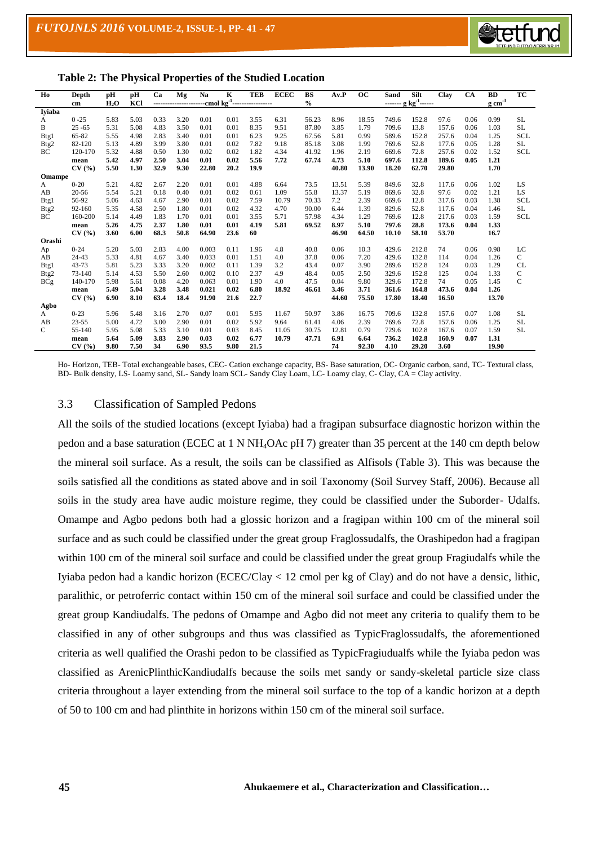

| Ho                | Depth      | pH               | рH   | Ca   | Mg                  | Na    | K    | <b>TEB</b>                                 | <b>ECEC</b> | <b>BS</b>     | A <sub>v</sub> P | OC    | Sand  | Silt                                                                    | Clay  | <b>CA</b> | <b>BD</b>           | TC          |
|-------------------|------------|------------------|------|------|---------------------|-------|------|--------------------------------------------|-------------|---------------|------------------|-------|-------|-------------------------------------------------------------------------|-------|-----------|---------------------|-------------|
|                   | cm         | H <sub>2</sub> O | KCI  |      | ------------------- |       |      | ---cmol kg <sup>-1</sup> ----------------- |             | $\frac{0}{0}$ |                  |       |       | $\underline{\cdots}\ \vdots\ \underline{\rm kg} \ {\rm kg}^{-1} \cdots$ |       |           | $g \text{ cm}^{-3}$ |             |
| Iviaba            |            |                  |      |      |                     |       |      |                                            |             |               |                  |       |       |                                                                         |       |           |                     |             |
| A                 | $0 - 25$   | 5.83             | 5.03 | 0.33 | 3.20                | 0.01  | 0.01 | 3.55                                       | 6.31        | 56.23         | 8.96             | 18.55 | 749.6 | 152.8                                                                   | 97.6  | 0.06      | 0.99                | <b>SL</b>   |
| B                 | $25 - 65$  | 5.31             | 5.08 | 4.83 | 3.50                | 0.01  | 0.01 | 8.35                                       | 9.51        | 87.80         | 3.85             | 1.79  | 709.6 | 13.8                                                                    | 157.6 | 0.06      | 1.03                | <b>SL</b>   |
| B <sub>tg</sub> 1 | 65-82      | 5.55             | 4.98 | 2.83 | 3.40                | 0.01  | 0.01 | 6.23                                       | 9.25        | 67.56         | 5.81             | 0.99  | 589.6 | 152.8                                                                   | 257.6 | 0.04      | 1.25                | <b>SCL</b>  |
| Btg2              | 82-120     | 5.13             | 4.89 | 3.99 | 3.80                | 0.01  | 0.02 | 7.82                                       | 9.18        | 85.18         | 3.08             | 1.99  | 769.6 | 52.8                                                                    | 177.6 | 0.05      | 1.28                | <b>SL</b>   |
| BC                | 120-170    | 5.32             | 4.88 | 0.50 | 1.30                | 0.02  | 0.02 | 1.82                                       | 4.34        | 41.92         | 1.96             | 2.19  | 669.6 | 72.8                                                                    | 257.6 | 0.02      | 1.52                | <b>SCL</b>  |
|                   | mean       | 5.42             | 4.97 | 2.50 | 3.04                | 0.01  | 0.02 | 5.56                                       | 7.72        | 67.74         | 4.73             | 5.10  | 697.6 | 112.8                                                                   | 189.6 | 0.05      | 1.21                |             |
|                   | CV(%)      | 5.50             | 1.30 | 32.9 | 9.30                | 22.80 | 20.2 | 19.9                                       |             |               | 40.80            | 13.90 | 18.20 | 62.70                                                                   | 29.80 |           | 1.70                |             |
| <b>Omampe</b>     |            |                  |      |      |                     |       |      |                                            |             |               |                  |       |       |                                                                         |       |           |                     |             |
| A                 | $0 - 20$   | 5.21             | 4.82 | 2.67 | 2.20                | 0.01  | 0.01 | 4.88                                       | 6.64        | 73.5          | 13.51            | 5.39  | 849.6 | 32.8                                                                    | 117.6 | 0.06      | 1.02                | LS          |
| AB                | $20 - 56$  | 5.54             | 5.21 | 0.18 | 0.40                | 0.01  | 0.02 | 0.61                                       | 1.09        | 55.8          | 13.37            | 5.19  | 869.6 | 32.8                                                                    | 97.6  | 0.02      | 1.21                | LS          |
| Btg1              | 56-92      | 5.06             | 4.63 | 4.67 | 2.90                | 0.01  | 0.02 | 7.59                                       | 10.79       | 70.33         | 7.2              | 2.39  | 669.6 | 12.8                                                                    | 317.6 | 0.03      | 1.38                | <b>SCL</b>  |
| Btg2              | 92-160     | 5.35             | 4.58 | 2.50 | 1.80                | 0.01  | 0.02 | 4.32                                       | 4.70        | 90.00         | 6.44             | 1.39  | 829.6 | 52.8                                                                    | 117.6 | 0.04      | 1.46                | <b>SL</b>   |
| BC                | 160-200    | 5.14             | 4.49 | 1.83 | 1.70                | 0.01  | 0.01 | 3.55                                       | 5.71        | 57.98         | 4.34             | 1.29  | 769.6 | 12.8                                                                    | 217.6 | 0.03      | 1.59                | <b>SCL</b>  |
|                   | mean       | 5.26             | 4.75 | 2.37 | 1.80                | 0.01  | 0.01 | 4.19                                       | 5.81        | 69.52         | 8.97             | 5.10  | 797.6 | 28.8                                                                    | 173.6 | 0.04      | 1.33                |             |
|                   | CV(%)      | 3.60             | 6.00 | 68.3 | 50.8                | 64.90 | 23.6 | 60                                         |             |               | 46.90            | 64.50 | 10.10 | 58.10                                                                   | 53.70 |           | 16.7                |             |
| Orashi            |            |                  |      |      |                     |       |      |                                            |             |               |                  |       |       |                                                                         |       |           |                     |             |
| Ap                | $0 - 24$   | 5.20             | 5.03 | 2.83 | 4.00                | 0.003 | 0.11 | 1.96                                       | 4.8         | 40.8          | 0.06             | 10.3  | 429.6 | 212.8                                                                   | 74    | 0.06      | 0.98                | LC          |
| AB                | 24-43      | 5.33             | 4.81 | 4.67 | 3.40                | 0.033 | 0.01 | 1.51                                       | 4.0         | 37.8          | 0.06             | 7.20  | 429.6 | 132.8                                                                   | 114   | 0.04      | 1.26                | C           |
| B <sub>tg</sub> 1 | 43-73      | 5.81             | 5.23 | 3.33 | 3.20                | 0.002 | 0.11 | 1.39                                       | 3.2         | 43.4          | 0.07             | 3.90  | 289.6 | 152.8                                                                   | 124   | 0.03      | 1.29                | <b>CL</b>   |
| Btg2              | $73 - 140$ | 5.14             | 4.53 | 5.50 | 2.60                | 0.002 | 0.10 | 2.37                                       | 4.9         | 48.4          | 0.05             | 2.50  | 329.6 | 152.8                                                                   | 125   | 0.04      | 1.33                | C           |
| <b>BCg</b>        | 140-170    | 5.98             | 5.61 | 0.08 | 4.20                | 0.063 | 0.01 | 1.90                                       | 4.0         | 47.5          | 0.04             | 9.80  | 329.6 | 172.8                                                                   | 74    | 0.05      | 1.45                | $\mathbf C$ |
|                   | mean       | 5.49             | 5.04 | 3.28 | 3.48                | 0.021 | 0.02 | 6.80                                       | 18.92       | 46.61         | 3.46             | 3.71  | 361.6 | 164.8                                                                   | 473.6 | 0.04      | 1.26                |             |
|                   | CV(%)      | 6.90             | 8.10 | 63.4 | 18.4                | 91.90 | 21.6 | 22.7                                       |             |               | 44.60            | 75.50 | 17.80 | 18.40                                                                   | 16.50 |           | 13.70               |             |
| Agbo              |            |                  |      |      |                     |       |      |                                            |             |               |                  |       |       |                                                                         |       |           |                     |             |
| A                 | $0 - 23$   | 5.96             | 5.48 | 3.16 | 2.70                | 0.07  | 0.01 | 5.95                                       | 11.67       | 50.97         | 3.86             | 16.75 | 709.6 | 132.8                                                                   | 157.6 | 0.07      | 1.08                | <b>SL</b>   |
| AB                | $23 - 55$  | 5.00             | 4.72 | 3.00 | 2.90                | 0.01  | 0.02 | 5.92                                       | 9.64        | 61.41         | 4.06             | 2.39  | 769.6 | 72.8                                                                    | 157.6 | 0.06      | 1.25                | <b>SL</b>   |
| C                 | 55-140     | 5.95             | 5.08 | 5.33 | 3.10                | 0.01  | 0.03 | 8.45                                       | 11.05       | 30.75         | 12.81            | 0.79  | 729.6 | 102.8                                                                   | 167.6 | 0.07      | 1.59                | <b>SL</b>   |
|                   | mean       | 5.64             | 5.09 | 3.83 | 2.90                | 0.03  | 0.02 | 6.77                                       | 10.79       | 47.71         | 6.91             | 6.64  | 736.2 | 102.8                                                                   | 160.9 | 0.07      | 1.31                |             |
|                   | CV(%       | 9.80             | 7.50 | 34   | 6.90                | 93.5  | 9.80 | 21.5                                       |             |               | 74               | 92.30 | 4.10  | 29.20                                                                   | 3.60  |           | 19.90               |             |

**Table 2: The Physical Properties of the Studied Location**

Ho- Horizon, TEB- Total exchangeable bases, CEC- Cation exchange capacity, BS- Base saturation, OC- Organic carbon, sand, TC- Textural class, BD- Bulk density, LS- Loamy sand, SL- Sandy loam SCL- Sandy Clay Loam, LC- Loamy clay, C- Clay, CA = Clay activity.

#### 3.3 Classification of Sampled Pedons

All the soils of the studied locations (except Iyiaba) had a fragipan subsurface diagnostic horizon within the pedon and a base saturation (ECEC at 1 N NH4OAc pH 7) greater than 35 percent at the 140 cm depth below the mineral soil surface. As a result, the soils can be classified as Alfisols (Table 3). This was because the soils satisfied all the conditions as stated above and in soil Taxonomy (Soil Survey Staff, 2006). Because all soils in the study area have audic moisture regime, they could be classified under the Suborder- Udalfs. Omampe and Agbo pedons both had a glossic horizon and a fragipan within 100 cm of the mineral soil surface and as such could be classified under the great group Fraglossudalfs, the Orashipedon had a fragipan within 100 cm of the mineral soil surface and could be classified under the great group Fragiudalfs while the Iyiaba pedon had a kandic horizon (ECEC/Clay < 12 cmol per kg of Clay) and do not have a densic, lithic, paralithic, or petroferric contact within 150 cm of the mineral soil surface and could be classified under the great group Kandiudalfs. The pedons of Omampe and Agbo did not meet any criteria to qualify them to be classified in any of other subgroups and thus was classified as TypicFraglossudalfs, the aforementioned criteria as well qualified the Orashi pedon to be classified as TypicFragiudualfs while the Iyiaba pedon was classified as ArenicPlinthicKandiudalfs because the soils met sandy or sandy-skeletal particle size class criteria throughout a layer extending from the mineral soil surface to the top of a kandic horizon at a depth of 50 to 100 cm and had plinthite in horizons within 150 cm of the mineral soil surface.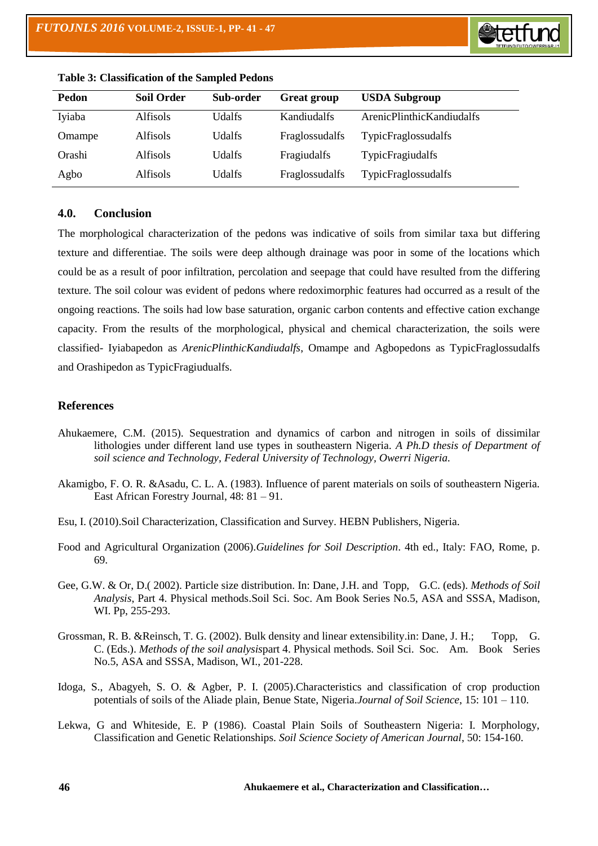

| Pedon  | <b>Soil Order</b> | Sub-order | <b>Great group</b> | <b>USDA Subgroup</b>       |
|--------|-------------------|-----------|--------------------|----------------------------|
| Iyiaba | Alfisols          | Udalfs    | Kandiudalfs        | ArenicPlinthicKandiudalfs  |
| Omampe | Alfisols          | Udalfs    | Fraglossudalfs     | <b>TypicFraglossudalfs</b> |
| Orashi | <b>Alfisols</b>   | Udalfs    | Fragiudalfs        | <b>TypicFragiudalfs</b>    |
| Agbo   | <b>Alfisols</b>   | Udalfs    | Fraglossudalfs     | <b>TypicFraglossudalfs</b> |

|  | <b>Table 3: Classification of the Sampled Pedons</b> |  |  |  |
|--|------------------------------------------------------|--|--|--|
|--|------------------------------------------------------|--|--|--|

#### **4.0. Conclusion**

The morphological characterization of the pedons was indicative of soils from similar taxa but differing texture and differentiae. The soils were deep although drainage was poor in some of the locations which could be as a result of poor infiltration, percolation and seepage that could have resulted from the differing texture. The soil colour was evident of pedons where redoximorphic features had occurred as a result of the ongoing reactions. The soils had low base saturation, organic carbon contents and effective cation exchange capacity. From the results of the morphological, physical and chemical characterization, the soils were classified- Iyiabapedon as *ArenicPlinthicKandiudalfs*, Omampe and Agbopedons as TypicFraglossudalfs and Orashipedon as TypicFragiudualfs.

#### **References**

- Ahukaemere, C.M. (2015). Sequestration and dynamics of carbon and nitrogen in soils of dissimilar lithologies under different land use types in southeastern Nigeria. *A Ph.D thesis of Department of soil science and Technology, Federal University of Technology, Owerri Nigeria.*
- Akamigbo, F. O. R. &Asadu, C. L. A. (1983). Influence of parent materials on soils of southeastern Nigeria. East African Forestry Journal, 48: 81 – 91.
- Esu, I. (2010).Soil Characterization, Classification and Survey. HEBN Publishers, Nigeria.
- Food and Agricultural Organization (2006).*Guidelines for Soil Description*. 4th ed., Italy: FAO, Rome, p. 69.
- Gee, G.W. & Or, D.( 2002). Particle size distribution. In: Dane, J.H. and Topp, G.C. (eds). *Methods of Soil Analysis*, Part 4. Physical methods.Soil Sci. Soc. Am Book Series No.5, ASA and SSSA, Madison, WI. Pp, 255-293.
- Grossman, R. B. &Reinsch, T. G. (2002). Bulk density and linear extensibility.in: Dane, J. H.; Topp, G. C. (Eds.). *Methods of the soil analysis*part 4. Physical methods. Soil Sci. Soc. Am. Book Series No.5, ASA and SSSA, Madison, WI., 201-228.
- Idoga, S., Abagyeh, S. O. & Agber, P. I. (2005).Characteristics and classification of crop production potentials of soils of the Aliade plain, Benue State, Nigeria.*Journal of Soil Science*, 15: 101 – 110.
- Lekwa, G and Whiteside, E. P (1986). Coastal Plain Soils of Southeastern Nigeria: I. Morphology, Classification and Genetic Relationships. *Soil Science Society of American Journal*, 50: 154-160.